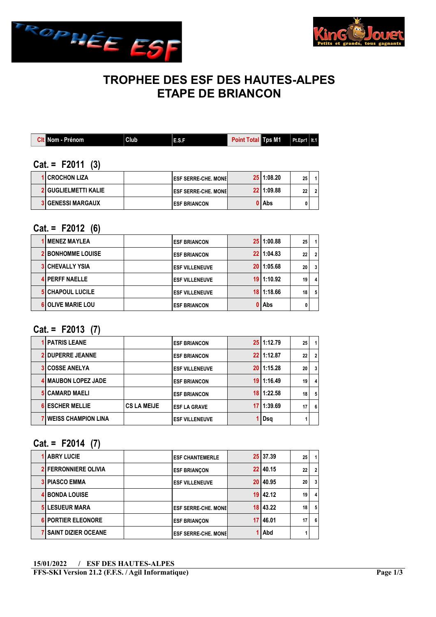



# TROPHEE DES ESF DES HAUTES-ALPES ETAPE DE BRIANCON

| <b>Cit Nom - Prénom</b> | Club | E.S.F | <b>Point Total Tps M1</b> | $ $ Pt.Epr1   It.1 |  |
|-------------------------|------|-------|---------------------------|--------------------|--|
|                         |      |       |                           |                    |  |

### $Cat. = F2011 (3)$

| <b>1 CROCHON LIZA</b>       | <b>LESF SERRE-CHE, MONEL</b> | $25$   1:08.20 | 25 |  |
|-----------------------------|------------------------------|----------------|----|--|
| <b>2 GUGLIELMETTI KALIE</b> | <b>LESF SERRE-CHE, MONEL</b> | 22 1:09.88     | 22 |  |
| <b>3 GENESSI MARGAUX</b>    | <b>IESF BRIANCON</b>         | l Abs          |    |  |

#### $Cat = F2012 (6)$

| <b>1 MENEZ MAYLEA</b>    | <b>ESF BRIANCON</b>   | $25$   1:00.88 | 25 |              |
|--------------------------|-----------------------|----------------|----|--------------|
| <b>2 BONHOMME LOUISE</b> | <b>ESF BRIANCON</b>   | 22 1:04.83     | 22 | $\mathbf{2}$ |
| <b>3 CHEVALLY YSIA</b>   | <b>ESF VILLENEUVE</b> | 20 1:05.68     | 20 | 3            |
| <b>4 PERFF NAELLE</b>    | <b>ESF VILLENEUVE</b> | $19$   1:10.92 | 19 | 4            |
| <b>5 CHAPOUL LUCILE</b>  | <b>ESF VILLENEUVE</b> | $18$   1:18.66 | 18 | 5            |
| <b>6 OLIVE MARIE LOU</b> | <b>ESF BRIANCON</b>   | Abs            |    |              |

### Cat. = F2013 (7)

| <b>1 PATRIS LEANE</b>        |                    | <b>ESF BRIANCON</b>   |    | 25 1:12.79 | 25 | $\overline{1}$ |
|------------------------------|--------------------|-----------------------|----|------------|----|----------------|
| <b>2 DUPERRE JEANNE</b>      |                    | <b>ESF BRIANCON</b>   |    | 22 1:12.87 | 22 | $\overline{2}$ |
| <b>3 COSSE ANELYA</b>        |                    | <b>ESF VILLENEUVE</b> |    | 20 1:15.28 | 20 | $\mathbf{3}$   |
| 4 MAUBON LOPEZ JADE          |                    | <b>ESF BRIANCON</b>   | 19 | 11:16.49   | 19 | $\overline{4}$ |
| <b>5 CAMARD MAELI</b>        |                    | <b>ESF BRIANCON</b>   | 18 | 1:22.58    | 18 | 5              |
| <b>6 ESCHER MELLIE</b>       | <b>CS LA MEIJE</b> | <b>ESF LA GRAVE</b>   | 17 | 1:39.69    | 17 | 6              |
| <b>7 WEISS CHAMPION LINA</b> |                    | <b>ESF VILLENEUVE</b> |    | Dsg        |    |                |

### Cat. = F2014 (7)

| <b>1 ABRY LUCIE</b>         | <b>ESF CHANTEMERLE</b>      | 25 37.39     | 25 |   |
|-----------------------------|-----------------------------|--------------|----|---|
| <b>2 FERRONNIERE OLIVIA</b> | <b>ESF BRIANCON</b>         | 22 40.15     | 22 | 2 |
| <b>3 PIASCO EMMA</b>        | <b>ESF VILLENEUVE</b>       | 20 40.95     | 20 | 3 |
| <b>4 BONDA LOUISE</b>       |                             | $19$   42.12 | 19 | 4 |
| <b>5 LESUEUR MARA</b>       | <b>ESF SERRE-CHE, MONEL</b> | 18 43.22     | 18 | 5 |
| <b>6 PORTIER ELEONORE</b>   | <b>ESF BRIANÇON</b>         | 17 46.01     | 17 | 6 |
| 7 SAINT DIZIER OCEANE       | <b>ESF SERRE-CHE, MONEL</b> | Abd          |    |   |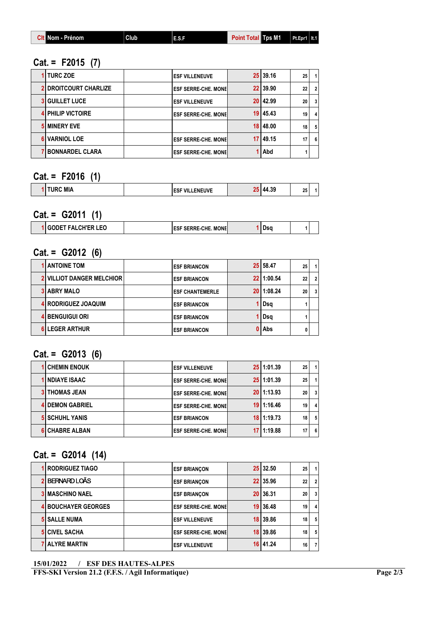| <b>Total Tos M1</b><br>Nom - Prénom<br>l Club<br>Point<br>E.S.I | $Pt.Epr1$   It.1 |
|-----------------------------------------------------------------|------------------|
|-----------------------------------------------------------------|------------------|

## Cat. = F2015 (7)

| 1 TURC ZOE                   | <b>ESF VILLENEUVE</b>       | 25 39.16     | 25 | $\mathbf{1}$   |
|------------------------------|-----------------------------|--------------|----|----------------|
| <b>2 DROITCOURT CHARLIZE</b> | <b>ESF SERRE-CHE, MONEL</b> | 22 39.90     | 22 | $\overline{2}$ |
| <b>3 GUILLET LUCE</b>        | <b>ESF VILLENEUVE</b>       | 20 42.99     | 20 | $\mathbf{3}$   |
| <b>4 PHILIP VICTOIRE</b>     | <b>ESF SERRE-CHE. MONEL</b> | $19$   45.43 | 19 | 4              |
| <b>5 MINERY EVE</b>          |                             | $18$   48.00 | 18 | 5              |
| <b>VARNIOL LOE</b>           | <b>ESF SERRE-CHE, MONEL</b> | $17$   49.15 | 17 | 6              |
| <b>BONNARDEL CLARA</b>       | <b>ESF SERRE-CHE, MONEL</b> | 1 Abd        |    |                |

## Cat. = F2016 (1)

| २C MIA<br>.<br>OF.<br><b>ENEUVE</b><br><b>ESF VIL.</b><br>- 37<br>- 20 |  |  |  |  |
|------------------------------------------------------------------------|--|--|--|--|
|                                                                        |  |  |  |  |

### $Cat. = G2011 (1)$

| . .<br><b>AULD</b><br>'ER LEO | . . н. н.<br>. MONEI<br>- 15 | υsι |  |
|-------------------------------|------------------------------|-----|--|
|                               |                              |     |  |

### Cat. = G2012 (6)

| <b>1 ANTOINE TOM</b>             | <b>ESF BRIANCON</b>    | 25 58.47   | 25 |   |
|----------------------------------|------------------------|------------|----|---|
| <b>2 VILLIOT DANGER MELCHIOR</b> | <b>ESF BRIANCON</b>    | 22 1:00.54 | 22 |   |
| <b>3 ABRY MALO</b>               | <b>ESF CHANTEMERLE</b> | 20 1:08.24 | 20 | 3 |
| 4 RODRIGUEZ JOAQUIM              | <b>ESF BRIANCON</b>    | Dsq        |    |   |
| <b>4 BENGUIGUI ORI</b>           | <b>ESF BRIANCON</b>    | Dsq        |    |   |
| <b>6 LEGER ARTHUR</b>            | <b>ESF BRIANCON</b>    | 0   Abs    |    |   |

# $Cat. = G2013(6)$

| <b>1 CHEMIN ENOUK</b>  | <b>ESF VILLENEUVE</b>        | 25 1:01.39     | 25 | 11  |
|------------------------|------------------------------|----------------|----|-----|
| 1 NDIAYE ISAAC         | <b>ESF SERRE-CHE, MONEL</b>  | 25 1:01.39     | 25 | 1   |
| <b>3 THOMAS JEAN</b>   | <b>LESF SERRE-CHE. MONEL</b> | $20$   1:13.93 | 20 | 3 I |
| <b>4 DEMON GABRIEL</b> | <b>ESF SERRE-CHE. MONEL</b>  | $19$   1:16.46 | 19 | 4   |
| <b>5 SCHUHL YANIS</b>  | <b>ESF BRIANCON</b>          | $18$   1:19.73 | 18 | 5   |
| 6 CHABRE ALBAN         | <b>ESF SERRE-CHE. MONEL</b>  | 1:19.88        |    | 6   |

# Cat. = G2014 (14)

| 1 RODRIGUEZ TIAGO          | <b>ESF BRIANCON</b>         | 25 32.50     | 25 | $\mathbf{1}$   |
|----------------------------|-----------------------------|--------------|----|----------------|
| <b>BERNARD LOÃS</b>        | <b>ESF BRIANCON</b>         | 22 35.96     | 22 | 2 <sup>1</sup> |
| <b>3 MASCHINO NAEL</b>     | <b>ESF BRIANCON</b>         | 20 36.31     | 20 | 3 <sup>1</sup> |
| <b>4 BOUCHAYER GEORGES</b> | <b>ESF SERRE-CHE, MONEL</b> | 19 36.48     | 19 | $\overline{4}$ |
| <b>5 SALLE NUMA</b>        | <b>ESF VILLENEUVE</b>       | 18 39.86     | 18 | 5 <sub>1</sub> |
| <b>5 CIVEL SACHA</b>       | <b>ESF SERRE-CHE, MONEL</b> | 18 39.86     | 18 | 5 <sub>1</sub> |
| <b>7 ALYRE MARTIN</b>      | <b>ESF VILLENEUVE</b>       | $16$   41.24 | 16 | 7 <sup>1</sup> |